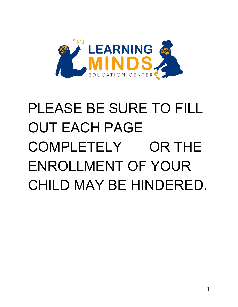

# PLEASE BE SURE TO FILL OUT EACH PAGE COMPLETELY OR THE ENROLLMENT OF YOUR CHILD MAY BE HINDERED.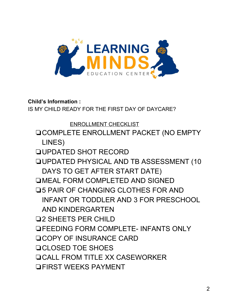

**Child's Information :**

IS MY CHILD READY FOR THE FIRST DAY OF DAYCARE?

ENROLLMENT CHECKLIST ❏COMPLETE ENROLLMENT PACKET (NO EMPTY LINES) ❏UPDATED SHOT RECORD ❏UPDATED PHYSICAL AND TB ASSESSMENT (10 DAYS TO GET AFTER START DATE) ❏MEAL FORM COMPLETED AND SIGNED **□5 PAIR OF CHANGING CLOTHES FOR AND** INFANT OR TODDLER AND 3 FOR PRESCHOOL AND KINDERGARTEN ❏2 SHEETS PER CHILD ❏FEEDING FORM COMPLETE- INFANTS ONLY ❏COPY OF INSURANCE CARD ❏CLOSED TOE SHOES ❏CALL FROM TITLE XX CASEWORKER ❏FIRST WEEKS PAYMENT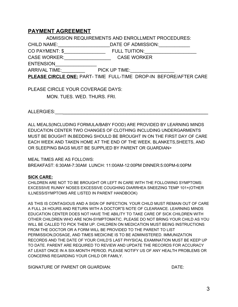#### **PAYMENT AGREEMENT**

ADMISSION REQUIREMENTS AND ENROLLMENT PROCEDURES:

CHILD NAME: The STATE OF ADMISSION:

CO PAYMENT: \$\_\_\_\_\_\_\_\_\_\_\_\_\_\_\_\_ FULL TUITION:\_\_\_\_\_\_\_\_\_\_\_\_\_\_\_\_\_\_\_\_

CASE WORKER:\_\_\_\_\_\_\_\_\_\_\_\_\_\_\_\_\_\_ CASE WORKER

ENTENSION\_\_\_\_\_\_\_\_\_\_\_\_\_\_\_\_

ARRIVAL TIME: THE PICK UP TIME:

**PLEASE CIRCLE ONE:** PART- TIME FULL-TIME DROP-IN BEFORE/AFTER CARE

PLEASE CIRCLE YOUR COVERAGE DAYS: MON. TUES. WED. THURS. FRI.

ALLERGIES: with a set of the set of the set of the set of the set of the set of the set of the set of the set of the set of the set of the set of the set of the set of the set of the set of the set of the set of the set of

ALL MEALS(INCLUDING FORMULA/BABY FOOD) ARE PROVIDED BY LEARNING MINDS EDUCATION CENTER TWO CHANGES OF CLOTHING INCLUDING UNDERGARMENTS MUST BE BOUGHT IN.BEDDING SHOULD BE BROUGHT IN ON THE FIRST DAY OF CARE EACH WEEK AND TAKEN HOME AT THE END OF THE WEEK. BLANKETS,SHEETS, AND OR SLEEPING BAGS MUST BE SUPPLIED BY PARENT OR GUARDIAN>

MEAL TIMES ARE AS FOLLOWS: BREAKFAST: 6:30AM-7:30AM LUNCH: 11:00AM-12:00PM DINNER:5:00PM-6:00PM

#### **SICK CARE:**

CHILDREN ARE NOT TO BE BROUGHT OR LEFT IN CARE WITH THE FOLLOWING SYMPTOMS: EXCESSIVE RUNNY NOSES EXCESSIVE COUGHING DIARRHEA SNEEZING TEMP 101+(OTHER ILLNESS/SYMPTOMS ARE LISTED IN PARENT HANDBOOK)

AS THIS IS CONTAGIOUS AND A SIGN OF INFECTION. YOUR CHILD MUST REMAIN OUT OF CARE A FULL 24 HOURS AND RETURN WITH A DOCTOR"S NOTE OF CLEARANCE. LEARNING MINDS EDUCATION CENTER DOES NOT HAVE THE ABILITY TO TAKE CARE OF SICK CHILDREN WITH OTHER CHILDREN WHO ARE NON-SYMPTOMATIC. PLEASE DO NOT BRING YOUR CHILD AS YOU WILL BE CALLED TO PICK THEM UP. CHILDREN ON MEDICATION MUST BEING INSTRUCTIONS FROM THE DOCTOR OR A FORM WILL BE PROVIDED TO THE PARENT TO LIST PERMISSION,DOSAGE, AND TIMES MEDICINE IS TO BE ADMINISTERED. IMMUNIZATION RECORDS AND THE DATE OF YOUR CHILD'S LAST PHYSICAL EXAMINATION MUST BE KEEP UP TO DATE. PARENT ARE REQUIRED TO REVIEW AND UPDATE THE RECORDS FOR ACCURACY AT LEAST ONCE IN A SIX-MONTH PERIOD. PLEASE NOTIFY US OF ANY HEALTH PROBLEMS OR CONCERNS REGARDING YOUR CHILD OR FAMILY.

SIGNATURE OF PARENT OR GUARDIAN: DATE: DATE: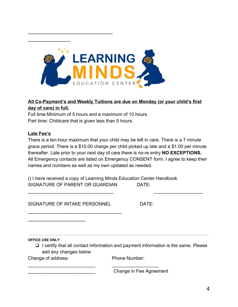

#### **All Co-Payment's and Weekly Tuitions are due on Monday (or your child's first day of care) in full.**

Full time:Minimum of 5 hours and a maximum of 10 hours. Part time: Childcare that is given less than 5 hours.

\_\_\_\_\_\_\_\_\_\_\_\_\_\_\_\_\_\_\_\_\_\_\_\_\_\_\_\_

 $\overline{\phantom{a}}$  . The set of the set of the set of the set of the set of the set of the set of the set of the set of the set of the set of the set of the set of the set of the set of the set of the set of the set of the set o

#### **Late Fee's**

There is a ten-hour maximum that your child may be left in care. There is a 7 minute grace period. There is a \$10.00 charge per child picked up late and a \$1.00 per minute thereafter. Late prior to your next day of care there is no-re entry **NO EXCEPTIONS.** All Emergency contacts are listed on Emergency CONSENT form. I agree to keep their names and numbers as well as my own updated as needed.

\_\_\_\_\_\_\_\_\_\_\_\_\_\_\_\_\_\_\_\_\_\_\_\_\_\_\_\_\_\_\_\_\_ \_\_\_\_\_\_\_\_\_\_\_\_\_\_\_\_\_\_\_

() I have received a copy of Learning Minds Education Center Handbook SIGNATURE OF PARENT OR GUARDIAN DATE:

\_\_\_\_\_\_\_\_\_\_\_\_\_\_\_\_\_\_\_\_\_\_\_\_\_\_ \_\_\_\_\_\_\_\_\_\_\_\_\_\_\_\_\_\_

SIGNATURE OF INTAKE PERSONNEL DATE:

\_\_\_\_\_\_\_\_\_\_\_\_\_\_\_\_\_\_\_

\_\_\_\_\_\_\_\_\_\_\_\_\_\_\_\_\_\_\_\_\_\_\_\_\_\_\_\_\_\_\_

**OFFICE USE ONLY**

❏ I certify that all contact information and payment information is the same. Please add any changes below

Change of address: Phone Number:

\_\_\_\_\_\_\_\_\_\_\_\_\_\_\_\_\_\_\_\_\_\_\_\_\_\_ Change in Fee Agreement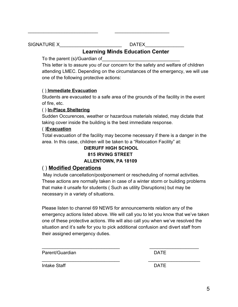SIGNATURE X\_\_\_\_\_\_\_\_\_\_\_\_\_\_\_\_\_\_\_\_\_\_\_\_ DATEX\_\_\_\_\_\_\_\_\_\_\_\_\_\_\_

### **Learning Minds Education Center**

\_\_\_\_\_\_\_\_\_\_\_\_\_\_\_\_\_\_\_\_\_\_\_\_\_\_\_ \_\_\_\_\_\_\_\_\_\_\_\_\_\_\_\_\_\_\_\_\_

To the parent (s)/Guardian of

This letter is to assure you of our concern for the safety and welfare of children attending LMEC. Depending on the circumstances of the emergency, we will use one of the following protective actions:

#### ( ) **Immediate Evacuation**

Students are evacuated to a safe area of the grounds of the facility in the event of fire, etc.

#### ( ) **In-Place Sheltering**

Sudden Occurences, weather or hazardous materials related, may dictate that taking cover inside the building is the best immediate response.

#### ( )**Evacuation**

Total evacuation of the facility may become necessary if there is a danger in the area. In this case, children will be taken to a "Relocation Facility" at:

#### **DIERUFF HIGH SCHOOL 815 IRVING STREET ALLENTOWN, PA 18109**

#### ( ) **Modified Operations**

 May include cancellation/postponement or rescheduling of normal activities. These actions are normally taken in case of a winter storm or building problems that make it unsafe for students ( Such as utility Disruptions) but may be necessary in a variety of situations.

Please listen to channel 69 NEWS for announcements relation any of the emergency actions listed above. We will call you to let you know that we've taken one of these protective actions. We will also call you when we've resolved the situation and it's safe for you to pick additional confusion and divert staff from their assigned emergency duties.

\_\_\_\_\_\_\_\_\_\_\_\_\_\_\_\_\_\_\_\_\_\_\_\_\_\_\_\_\_\_ \_\_\_\_\_\_\_\_\_\_\_\_\_\_\_\_\_\_\_

\_\_\_\_\_\_\_\_\_\_\_\_\_\_\_\_\_\_\_\_\_\_\_\_\_\_\_\_\_\_ \_\_\_\_\_\_\_\_\_\_\_\_\_\_\_\_\_\_\_\_

Parent/Guardian **DATE** 

Intake Staff **DATE**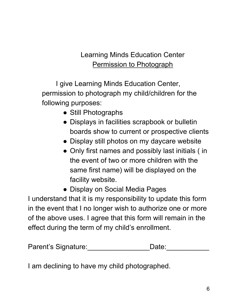## Learning Minds Education Center Permission to Photograph

I give Learning Minds Education Center, permission to photograph my child/children for the following purposes:

- Still Photographs
- Displays in facilities scrapbook or bulletin boards show to current or prospective clients
- Display still photos on my daycare website
- Only first names and possibly last initials (in the event of two or more children with the same first name) will be displayed on the facility website.
- Display on Social Media Pages

I understand that it is my responsibility to update this form in the event that I no longer wish to authorize one or more of the above uses. I agree that this form will remain in the effect during the term of my child's enrollment.

| Parent's Signature: | Date: |  |
|---------------------|-------|--|
|                     |       |  |

I am declining to have my child photographed.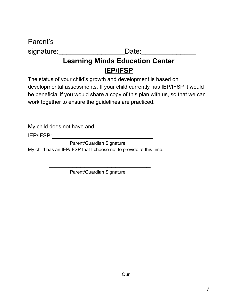Parent's

signature: Date:

## **Learning Minds Education Center IEP/IFSP**

The status of your child's growth and development is based on developmental assessments. If your child currently has IEP/IFSP it would be beneficial if you would share a copy of this plan with us, so that we can work together to ensure the guidelines are practiced.

My child does not have and

IEP/IFSP:

Parent/Guardian Signature My child has an IEP/IFSP that I choose not to provide at this time.

Parent/Guardian Signature

 $\mathcal{L}_\text{max} = \frac{1}{2} \frac{1}{\sqrt{2}} \frac{1}{\sqrt{2}} \frac{1}{\sqrt{2}} \frac{1}{\sqrt{2}} \frac{1}{\sqrt{2}} \frac{1}{\sqrt{2}} \frac{1}{\sqrt{2}} \frac{1}{\sqrt{2}} \frac{1}{\sqrt{2}} \frac{1}{\sqrt{2}} \frac{1}{\sqrt{2}} \frac{1}{\sqrt{2}} \frac{1}{\sqrt{2}} \frac{1}{\sqrt{2}} \frac{1}{\sqrt{2}} \frac{1}{\sqrt{2}} \frac{1}{\sqrt{2}} \frac{1}{\sqrt{2}} \frac{1}{\sqrt{2}} \frac{1}{\sqrt{2}} \$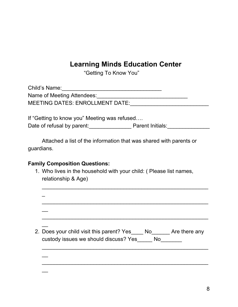## **Learning Minds Education Center**

"Getting To Know You"

| Child's Name:                          |  |
|----------------------------------------|--|
| Name of Meeting Attendees:             |  |
| <b>MEETING DATES: ENROLLMENT DATE:</b> |  |

If "Getting to know you" Meeting was refused…. Date of refusal by parent:\_\_\_\_\_\_\_\_\_\_\_\_\_\_ Parent Initials:\_\_\_\_\_\_\_\_\_\_\_\_\_\_

Attached a list of the information that was shared with parents or guardians.

#### **Family Composition Questions:**

1. Who lives in the household with your child: ( Please list names, relationship & Age)

| 2. Does your child visit this parent? Yes No Are there any<br>custody issues we should discuss? Yes<br>No No |
|--------------------------------------------------------------------------------------------------------------|
|                                                                                                              |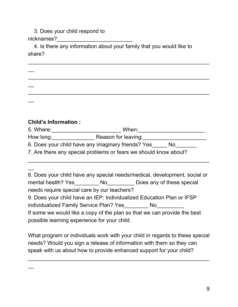3. Does your child respond to nicknames?

4. Is there any information about your family that you would like to share?

 $\_$ 

 $\_$ 

 $\_$ 

| <b>Child's Information:</b> |  |
|-----------------------------|--|

 $\overline{\phantom{a}}$ 

 $\overline{\phantom{a}}$ 

 $\overline{\phantom{a}}$ 

 $\overline{\phantom{a}}$ 

 $\overline{\phantom{a}}$ 

5. Where:\_\_\_\_\_\_\_\_\_\_\_\_\_\_\_\_\_\_\_\_\_\_\_ When:\_\_\_\_\_\_\_\_\_\_\_\_\_\_\_\_\_\_\_\_\_\_

 $\_$ 

How long: The Reason for leaving:

6. Does your child have any imaginary friends? Yes\_\_\_\_\_ No\_\_\_\_\_\_\_

7. Are there any special problems or fears we should know about?

8. Does your child have any special needs/medical, development, social or mental health? Yes\_\_\_\_\_\_\_\_\_\_ No\_\_\_\_\_\_\_\_\_\_\_ Does any of these special needs require special care by our teachers? 9. Does your child have an IEP: Individualized Education Plan or IFSP individualized Family Service Plan? Yes No If some we would like a copy of the plan so that we can provide the best possible learning experience for your child.

What program or individuals work with your child in regards to these special needs? Would you sign a release of information with them so they can speak with us about how to provide enhanced support for your child?

 $\_$